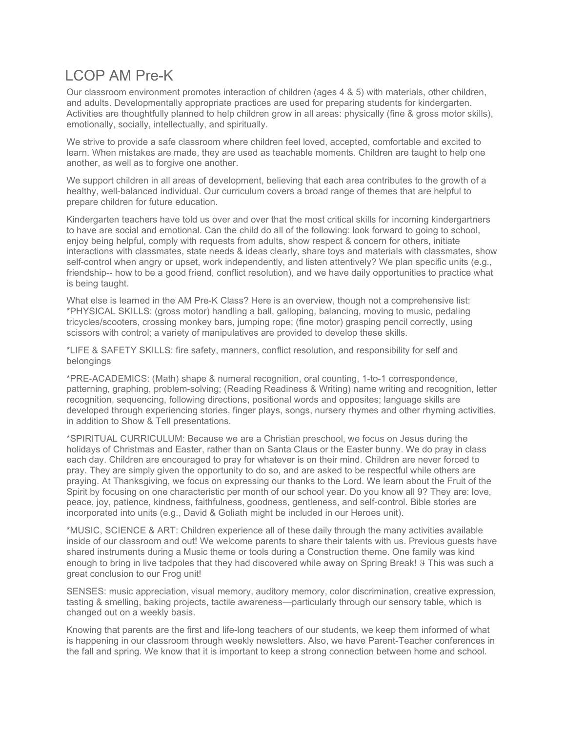## LCOP AM Pre-K

Our classroom environment promotes interaction of children (ages 4 & 5) with materials, other children, and adults. Developmentally appropriate practices are used for preparing students for kindergarten. Activities are thoughtfully planned to help children grow in all areas: physically (fine & gross motor skills), emotionally, socially, intellectually, and spiritually.

We strive to provide a safe classroom where children feel loved, accepted, comfortable and excited to learn. When mistakes are made, they are used as teachable moments. Children are taught to help one another, as well as to forgive one another.

We support children in all areas of development, believing that each area contributes to the growth of a healthy, well-balanced individual. Our curriculum covers a broad range of themes that are helpful to prepare children for future education.

Kindergarten teachers have told us over and over that the most critical skills for incoming kindergartners to have are social and emotional. Can the child do all of the following: look forward to going to school, enjoy being helpful, comply with requests from adults, show respect & concern for others, initiate interactions with classmates, state needs & ideas clearly, share toys and materials with classmates, show self-control when angry or upset, work independently, and listen attentively? We plan specific units (e.g., friendship-- how to be a good friend, conflict resolution), and we have daily opportunities to practice what is being taught.

What else is learned in the AM Pre-K Class? Here is an overview, though not a comprehensive list: \*PHYSICAL SKILLS: (gross motor) handling a ball, galloping, balancing, moving to music, pedaling tricycles/scooters, crossing monkey bars, jumping rope; (fine motor) grasping pencil correctly, using scissors with control; a variety of manipulatives are provided to develop these skills.

\*LIFE & SAFETY SKILLS: fire safety, manners, conflict resolution, and responsibility for self and belongings

\*PRE-ACADEMICS: (Math) shape & numeral recognition, oral counting, 1-to-1 correspondence, patterning, graphing, problem-solving; (Reading Readiness & Writing) name writing and recognition, letter recognition, sequencing, following directions, positional words and opposites; language skills are developed through experiencing stories, finger plays, songs, nursery rhymes and other rhyming activities, in addition to Show & Tell presentations.

\*SPIRITUAL CURRICULUM: Because we are a Christian preschool, we focus on Jesus during the holidays of Christmas and Easter, rather than on Santa Claus or the Easter bunny. We do pray in class each day. Children are encouraged to pray for whatever is on their mind. Children are never forced to pray. They are simply given the opportunity to do so, and are asked to be respectful while others are praying. At Thanksgiving, we focus on expressing our thanks to the Lord. We learn about the Fruit of the Spirit by focusing on one characteristic per month of our school year. Do you know all 9? They are: love, peace, joy, patience, kindness, faithfulness, goodness, gentleness, and self-control. Bible stories are incorporated into units (e.g., David & Goliath might be included in our Heroes unit).

\*MUSIC, SCIENCE & ART: Children experience all of these daily through the many activities available inside of our classroom and out! We welcome parents to share their talents with us. Previous guests have shared instruments during a Music theme or tools during a Construction theme. One family was kind enough to bring in live tadpoles that they had discovered while away on Spring Break! 9 This was such a great conclusion to our Frog unit!

SENSES: music appreciation, visual memory, auditory memory, color discrimination, creative expression, tasting & smelling, baking projects, tactile awareness—particularly through our sensory table, which is changed out on a weekly basis.

Knowing that parents are the first and life-long teachers of our students, we keep them informed of what is happening in our classroom through weekly newsletters. Also, we have Parent-Teacher conferences in the fall and spring. We know that it is important to keep a strong connection between home and school.